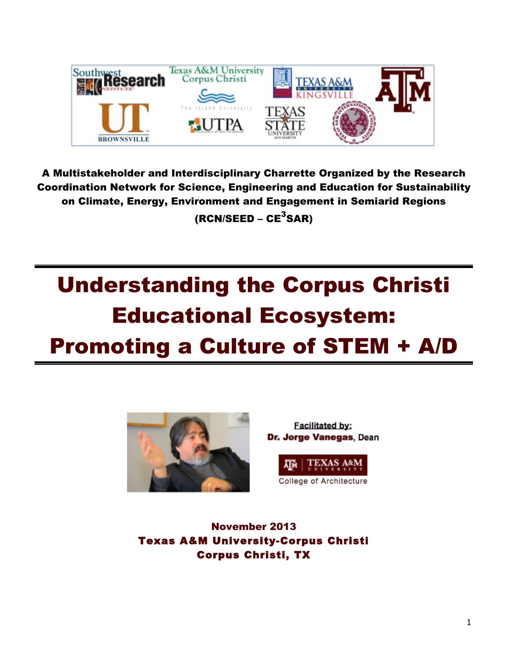

A Multistakeholder and Interdisciplinary Charrette Organized by the Research Coordination Network for Science, Engineering and Education for Sustainability on Climate, Energy, Environment and Engagement in Semiarid Regions (RCN/SEED – CE $^3$ SAR)

# Understanding the Corpus Christi Educational Ecosystem: Promoting a Culture of STEM + A/D



**Facilitated by:** Dr. Jorge Vanegas, Dean



November 2013 Texas A&M University-Corpus Christi Corpus Christi, TX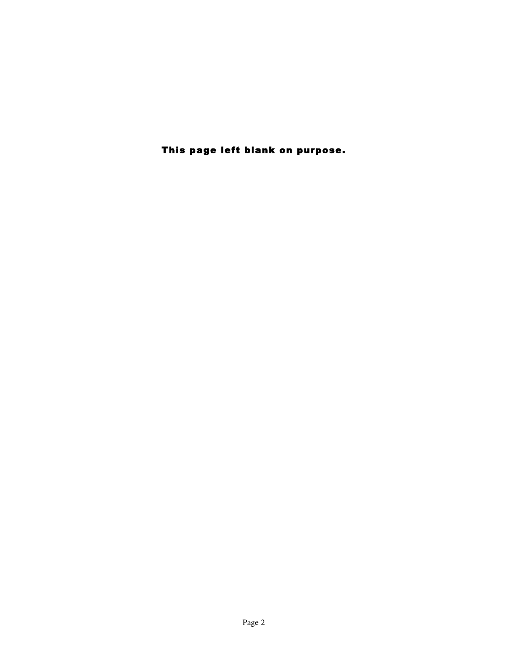This page left blank on purpose.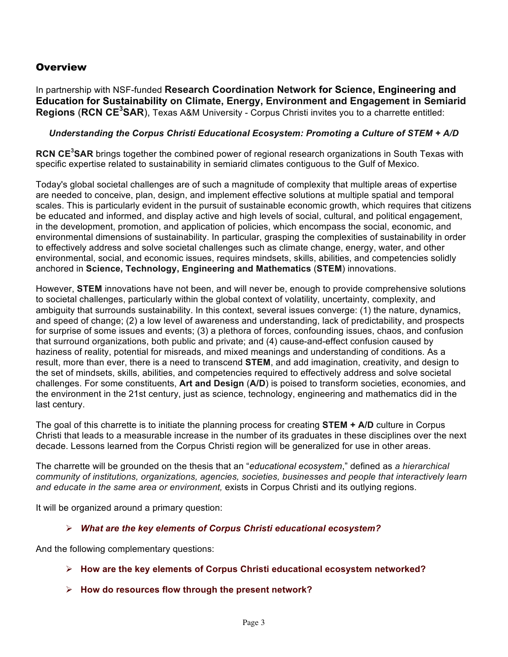### **Overview**

In partnership with NSF-funded **Research Coordination Network for Science, Engineering and Education for Sustainability on Climate, Energy, Environment and Engagement in Semiarid Regions (RCN CE<sup>3</sup>SAR)**, Texas A&M University - Corpus Christi invites you to a charrette entitled:

### *Understanding the Corpus Christi Educational Ecosystem: Promoting a Culture of STEM + A/D*

**RCN CE<sup>3</sup> SAR** brings together the combined power of regional research organizations in South Texas with specific expertise related to sustainability in semiarid climates contiguous to the Gulf of Mexico.

Today's global societal challenges are of such a magnitude of complexity that multiple areas of expertise are needed to conceive, plan, design, and implement effective solutions at multiple spatial and temporal scales. This is particularly evident in the pursuit of sustainable economic growth, which requires that citizens be educated and informed, and display active and high levels of social, cultural, and political engagement, in the development, promotion, and application of policies, which encompass the social, economic, and environmental dimensions of sustainability. In particular, grasping the complexities of sustainability in order to effectively address and solve societal challenges such as climate change, energy, water, and other environmental, social, and economic issues, requires mindsets, skills, abilities, and competencies solidly anchored in **Science, Technology, Engineering and Mathematics** (**STEM**) innovations.

However, **STEM** innovations have not been, and will never be, enough to provide comprehensive solutions to societal challenges, particularly within the global context of volatility, uncertainty, complexity, and ambiguity that surrounds sustainability. In this context, several issues converge: (1) the nature, dynamics, and speed of change; (2) a low level of awareness and understanding, lack of predictability, and prospects for surprise of some issues and events; (3) a plethora of forces, confounding issues, chaos, and confusion that surround organizations, both public and private; and (4) cause-and-effect confusion caused by haziness of reality, potential for misreads, and mixed meanings and understanding of conditions. As a result, more than ever, there is a need to transcend **STEM**, and add imagination, creativity, and design to the set of mindsets, skills, abilities, and competencies required to effectively address and solve societal challenges. For some constituents, **Art and Design** (**A/D**) is poised to transform societies, economies, and the environment in the 21st century, just as science, technology, engineering and mathematics did in the last century.

The goal of this charrette is to initiate the planning process for creating **STEM + A/D** culture in Corpus Christi that leads to a measurable increase in the number of its graduates in these disciplines over the next decade. Lessons learned from the Corpus Christi region will be generalized for use in other areas.

The charrette will be grounded on the thesis that an "*educational ecosystem*," defined as *a hierarchical community of institutions, organizations, agencies, societies, businesses and people that interactively learn and educate in the same area or environment,* exists in Corpus Christi and its outlying regions.

It will be organized around a primary question:

### Ø *What are the key elements of Corpus Christi educational ecosystem?*

And the following complementary questions:

- Ø **How are the key elements of Corpus Christi educational ecosystem networked?**
- Ø **How do resources flow through the present network?**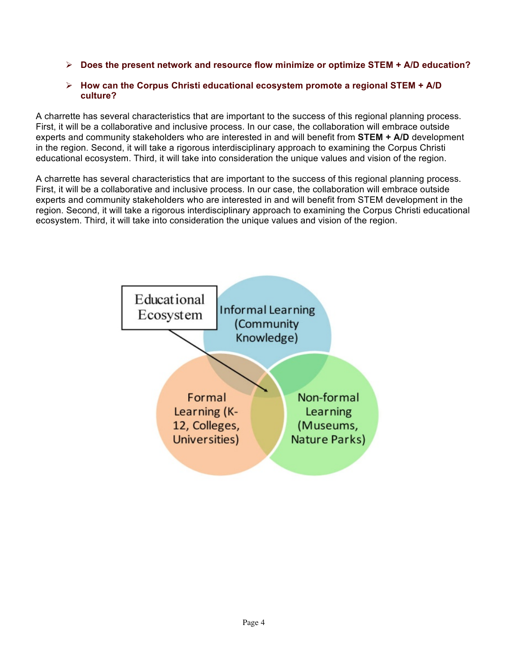Ø **Does the present network and resource flow minimize or optimize STEM + A/D education?**

### Ø **How can the Corpus Christi educational ecosystem promote a regional STEM + A/D culture?**

A charrette has several characteristics that are important to the success of this regional planning process. First, it will be a collaborative and inclusive process. In our case, the collaboration will embrace outside experts and community stakeholders who are interested in and will benefit from **STEM + A/D** development in the region. Second, it will take a rigorous interdisciplinary approach to examining the Corpus Christi educational ecosystem. Third, it will take into consideration the unique values and vision of the region.

A charrette has several characteristics that are important to the success of this regional planning process. First, it will be a collaborative and inclusive process. In our case, the collaboration will embrace outside experts and community stakeholders who are interested in and will benefit from STEM development in the region. Second, it will take a rigorous interdisciplinary approach to examining the Corpus Christi educational ecosystem. Third, it will take into consideration the unique values and vision of the region.

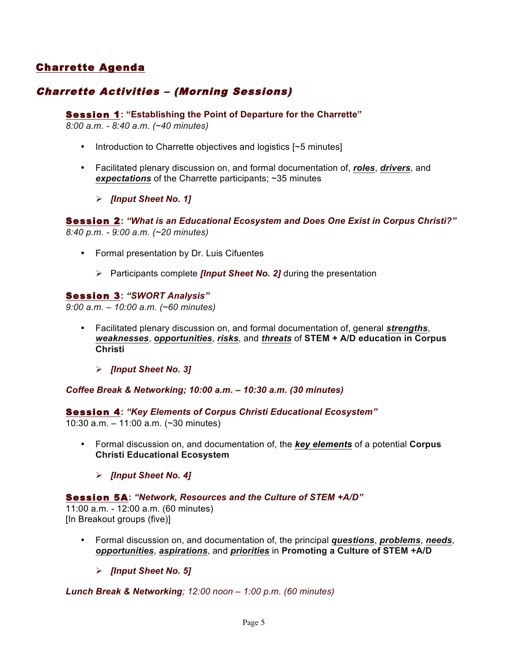### Charrette Agenda

### Charrette Activities – (Morning Sessions)

### Session 1**: "Establishing the Point of Departure for the Charrette"**

*8:00 a.m. - 8:40 a.m. (~40 minutes)*

- Introduction to Charrette objectives and logistics [~5 minutes]
- Facilitated plenary discussion on, and formal documentation of, *roles*, *drivers*, and *expectations* of the Charrette participants; ~35 minutes
	- Ø *[Input Sheet No. 1]*

Session 2**:** *"What is an Educational Ecosystem and Does One Exist in Corpus Christi?" 8:40 p.m. - 9:00 a.m. (~20 minutes)*

- Formal presentation by Dr. Luis Cifuentes
	- Ø Participants complete *[Input Sheet No. 2]* during the presentation

### Session 3**:** *"SWORT Analysis"*

*9:00 a.m. – 10:00 a.m. (~60 minutes)*

- Facilitated plenary discussion on, and formal documentation of, general *strengths*, *weaknesses*, *opportunities*, *risks*, and *threats* of **STEM + A/D education in Corpus Christi**
	- Ø *[Input Sheet No. 3]*

*Coffee Break & Networking; 10:00 a.m. – 10:30 a.m. (30 minutes)*

Session 4**:** *"Key Elements of Corpus Christi Educational Ecosystem"*

10:30 a.m. – 11:00 a.m. (~30 minutes)

- Formal discussion on, and documentation of, the *key elements* of a potential **Corpus Christi Educational Ecosystem**
	- Ø *[Input Sheet No. 4]*

#### Session 5A**:** *"Network, Resources and the Culture of STEM +A/D"*

11:00 a.m. - 12:00 a.m. (60 minutes) [In Breakout groups (five)]

- Formal discussion on, and documentation of, the principal *questions*, *problems*, *needs*, *opportunities*, *aspirations*, and *priorities* in **Promoting a Culture of STEM +A/D**
	- Ø *[Input Sheet No. 5]*

*Lunch Break & Networking; 12:00 noon – 1:00 p.m. (60 minutes)*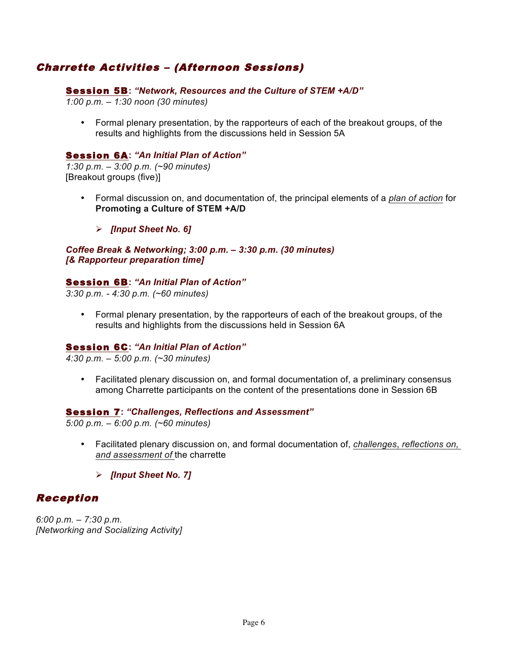### Charrette Activities – (Afternoon Sessions)

### Session 5B**:** *"Network, Resources and the Culture of STEM +A/D"*

*1:00 p.m. – 1:30 noon (30 minutes)*

• Formal plenary presentation, by the rapporteurs of each of the breakout groups, of the results and highlights from the discussions held in Session 5A

### Session 6A**:** *"An Initial Plan of Action"*

*1:30 p.m. – 3:00 p.m. (~90 minutes)* [Breakout groups (five)]

- Formal discussion on, and documentation of, the principal elements of a *plan of action* for **Promoting a Culture of STEM +A/D**
	- Ø *[Input Sheet No. 6]*

*Coffee Break & Networking; 3:00 p.m. – 3:30 p.m. (30 minutes) [& Rapporteur preparation time]*

### Session 6B**:** *"An Initial Plan of Action"*

*3:30 p.m. - 4:30 p.m. (~60 minutes)*

• Formal plenary presentation, by the rapporteurs of each of the breakout groups, of the results and highlights from the discussions held in Session 6A

### Session 6C**:** *"An Initial Plan of Action"*

*4:30 p.m. – 5:00 p.m. (~30 minutes)*

• Facilitated plenary discussion on, and formal documentation of, a preliminary consensus among Charrette participants on the content of the presentations done in Session 6B

### Session 7**:** *"Challenges, Reflections and Assessment"*

*5:00 p.m. – 6:00 p.m. (~60 minutes)*

- Facilitated plenary discussion on, and formal documentation of, *challenges*, *reflections on, and assessment of* the charrette
	- Ø *[Input Sheet No. 7]*

### Reception

*6:00 p.m. – 7:30 p.m. [Networking and Socializing Activity]*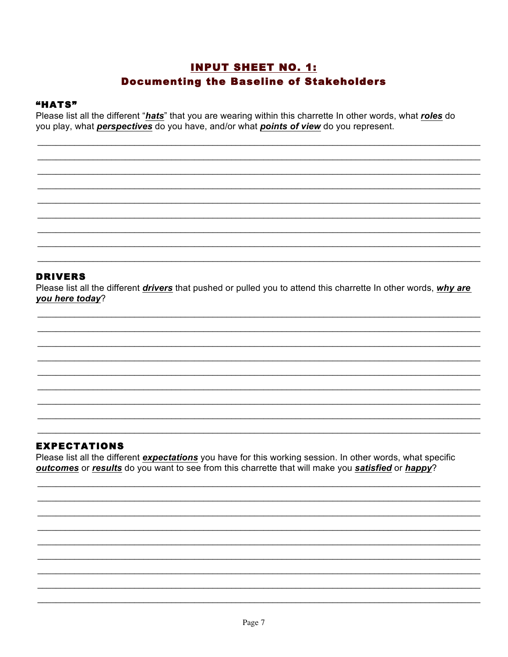### **INPUT SHEET NO. 1: Documenting the Baseline of Stakeholders**

### "HATS"

Please list all the different "hats" that you are wearing within this charrette In other words, what roles do you play, what *perspectives* do you have, and/or what *points of view* do you represent.

### **DRIVERS**

Please list all the different drivers that pushed or pulled you to attend this charrette In other words, why are you here today?

### **EXPECTATIONS**

Please list all the different expectations you have for this working session. In other words, what specific outcomes or results do you want to see from this charrette that will make you satisfied or happy?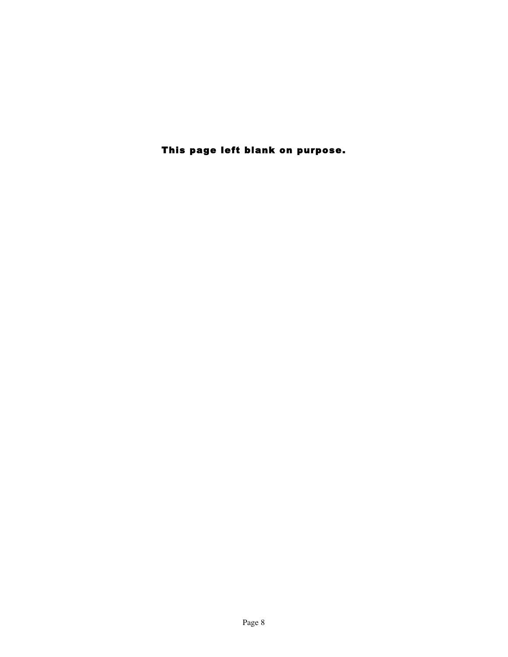This page left blank on purpose.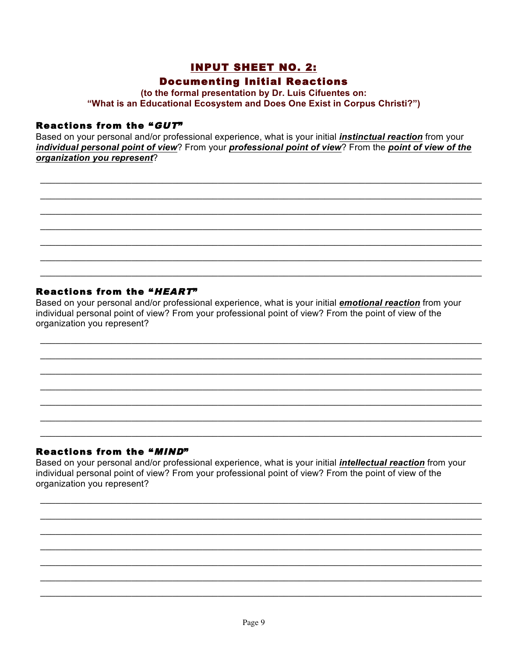## **INPUT SHEET NO. 2: Documenting Initial Reactions**

(to the formal presentation by Dr. Luis Cifuentes on: "What is an Educational Ecosystem and Does One Exist in Corpus Christi?")

### Reactions from the "GUT"

Based on your personal and/or professional experience, what is your initial *instinctual reaction* from your individual personal point of view? From your professional point of view? From the point of view of the organization you represent?

### Reactions from the "HEART"

Based on your personal and/or professional experience, what is your initial *emotional reaction* from your individual personal point of view? From your professional point of view? From the point of view of the organization you represent?

### Reactions from the "MIND"

Based on your personal and/or professional experience, what is your initial *intellectual reaction* from your individual personal point of view? From your professional point of view? From the point of view of the organization you represent?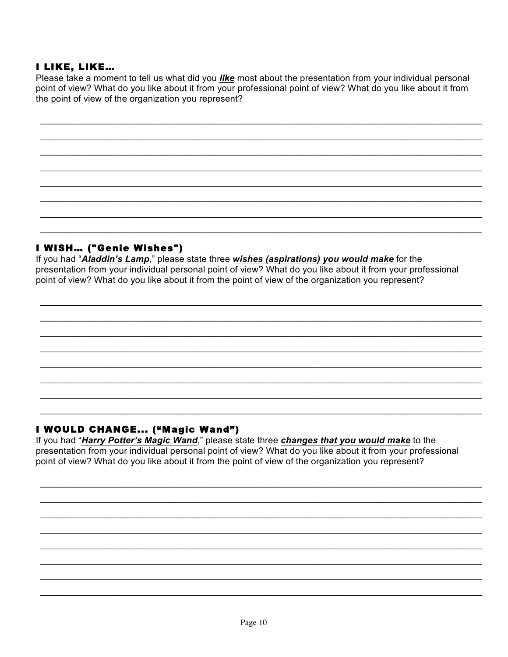### I LIKE, LIKE...

Please take a moment to tell us what did you like most about the presentation from your individual personal point of view? What do you like about it from your professional point of view? What do you like about it from the point of view of the organization you represent?

### I WISH... ("Genie Wishes")

If you had "Aladdin's Lamp," please state three wishes (aspirations) you would make for the presentation from your individual personal point of view? What do you like about it from your professional point of view? What do you like about it from the point of view of the organization you represent?

### I WOULD CHANGE... ("Magic Wand")

If you had "Harry Potter's Magic Wand," please state three changes that you would make to the presentation from your individual personal point of view? What do you like about it from your professional point of view? What do you like about it from the point of view of the organization you represent?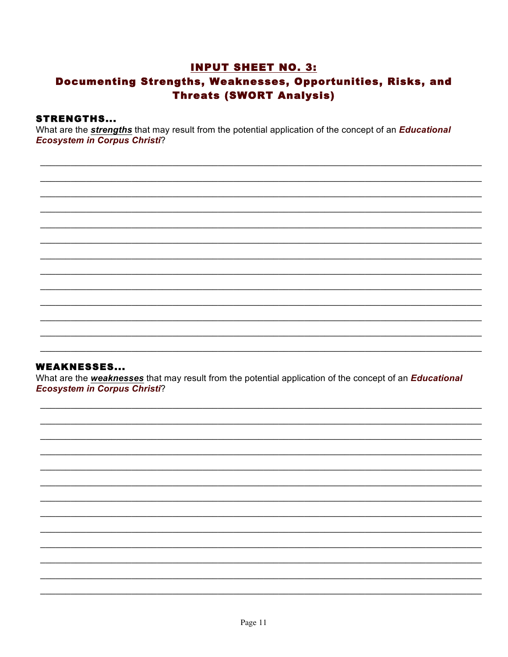### **INPUT SHEET NO. 3:** Documenting Strengths, Weaknesses, Opportunities, Risks, and **Threats (SWORT Analysis)**

### **STRENGTHS...**

What are the *strengths* that may result from the potential application of the concept of an *Educational* **Ecosystem in Corpus Christi?** 

### **WEAKNESSES...**

What are the weaknesses that may result from the potential application of the concept of an Educational **Ecosystem in Corpus Christi?**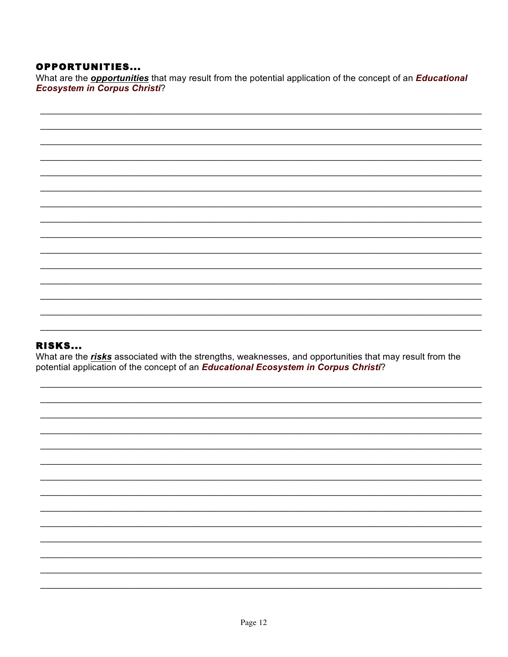### **OPPORTUNITIES...**

What are the *opportunities* that may result from the potential application of the concept of an *Educational* **Ecosystem in Corpus Christi?** 

### **RISKS...**

What are the risks associated with the strengths, weaknesses, and opportunities that may result from the potential application of the concept of an Educational Ecosystem in Corpus Christi?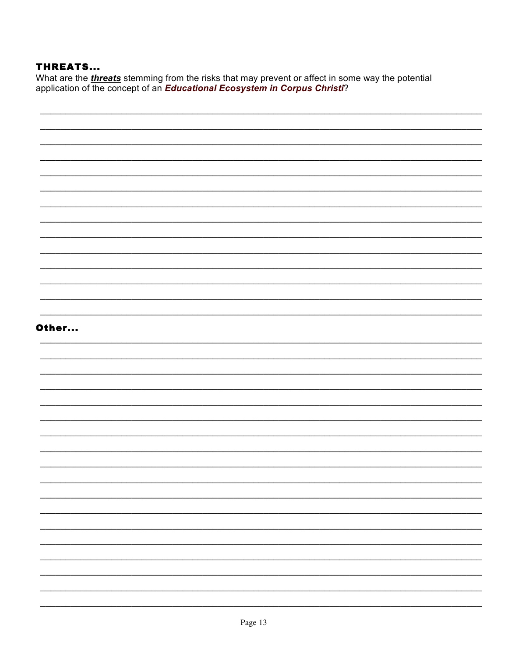### **THREATS...**

What are the *threats* stemming from the risks that may prevent or affect in some way the potential<br>application of the concept of an *Educational Ecosystem in Corpus Christi*?

| Other |  |
|-------|--|
|       |  |
|       |  |
|       |  |
|       |  |
|       |  |
|       |  |
|       |  |
|       |  |
|       |  |
|       |  |
|       |  |
|       |  |
|       |  |
|       |  |
|       |  |
|       |  |
|       |  |
|       |  |
|       |  |
|       |  |
|       |  |
|       |  |
|       |  |
|       |  |
|       |  |
|       |  |
|       |  |
|       |  |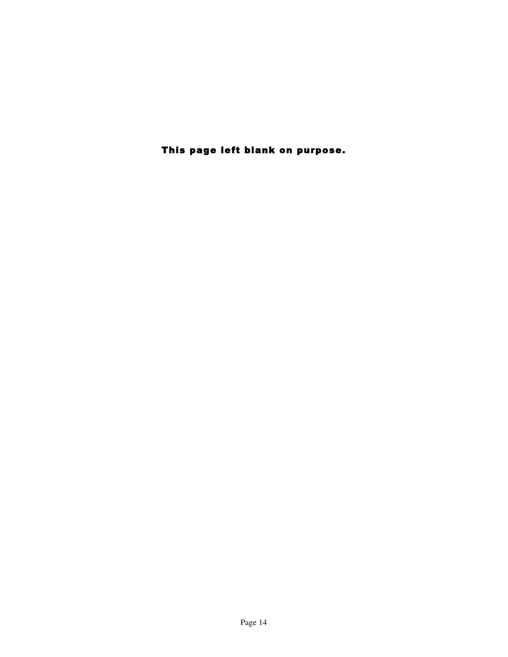This page left blank on purpose.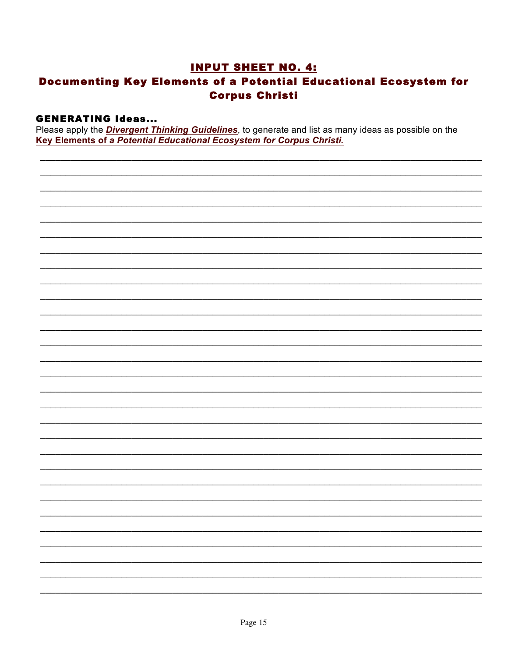### **INPUT SHEET NO. 4: Documenting Key Elements of a Potential Educational Ecosystem for Corpus Christi**

### **GENERATING Ideas...**

Please apply the **Divergent Thinking Guidelines**, to generate and list as many ideas as possible on the Key Elements of a Potential Educational Ecosystem for Corpus Christi.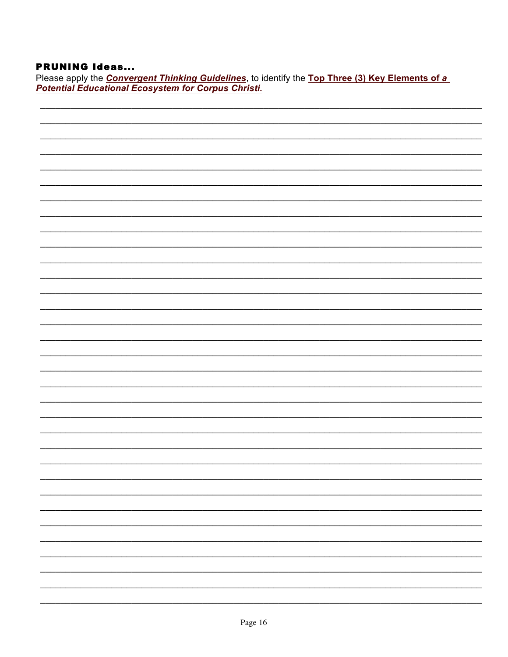### **PRUNING Ideas...**

Please apply the **Convergent Thinking Guidelines**, to identify the Top Three (3) Key Elements of a<br>**Potential Educational Ecosystem for Corpus Christi.**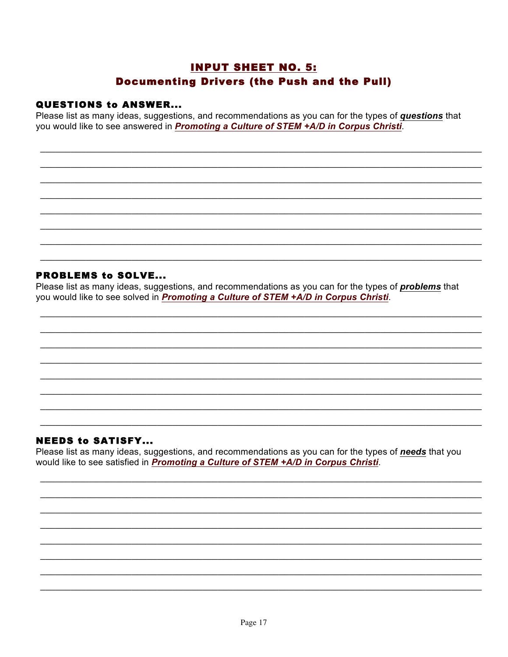### **INPUT SHEET NO. 5: Documenting Drivers (the Push and the Pull)**

### **QUESTIONS to ANSWER...**

Please list as many ideas, suggestions, and recommendations as you can for the types of questions that you would like to see answered in Promoting a Culture of STEM +A/D in Corpus Christi.

### **PROBLEMS to SOLVE...**

Please list as many ideas, suggestions, and recommendations as you can for the types of *problems* that you would like to see solved in Promoting a Culture of STEM +A/D in Corpus Christi.

### **NEEDS to SATISFY...**

Please list as many ideas, suggestions, and recommendations as you can for the types of needs that you would like to see satisfied in Promoting a Culture of STEM +A/D in Corpus Christi.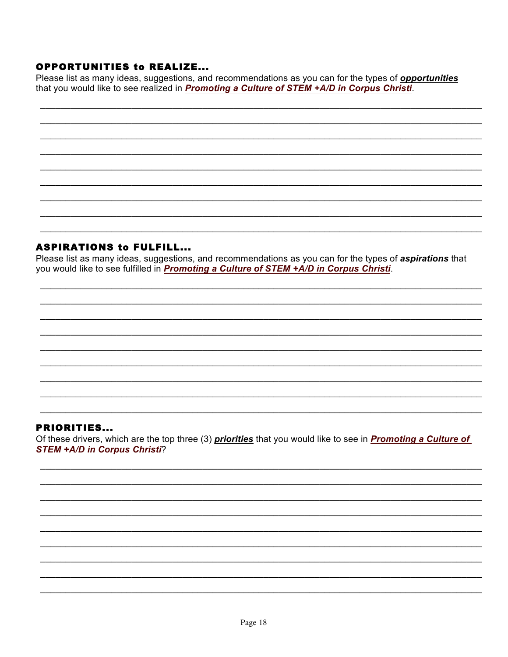### **OPPORTUNITIES to REALIZE...**

Please list as many ideas, suggestions, and recommendations as you can for the types of *opportunities* that you would like to see realized in Promoting a Culture of STEM +A/D in Corpus Christi.

### **ASPIRATIONS to FULFILL...**

Please list as many ideas, suggestions, and recommendations as you can for the types of *aspirations* that you would like to see fulfilled in Promoting a Culture of STEM +A/D in Corpus Christi.

### **PRIORITIES...**

Of these drivers, which are the top three (3) priorities that you would like to see in Promoting a Culture of **STEM +A/D in Corpus Christi?**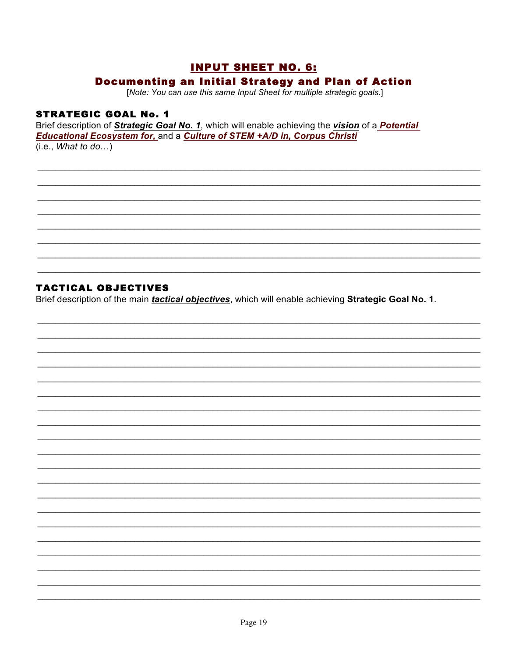### **INPUT SHEET NO. 6:**

### **Documenting an Initial Strategy and Plan of Action**

[Note: You can use this same Input Sheet for multiple strategic goals.]

### **STRATEGIC GOAL No. 1**

Brief description of Strategic Goal No. 1, which will enable achieving the vision of a Potential Educational Ecosystem for, and a Culture of STEM +A/D in, Corpus Christi  $(i.e., What to do...)$ 

### **TACTICAL OBJECTIVES**

Brief description of the main *tactical objectives*, which will enable achieving Strategic Goal No. 1.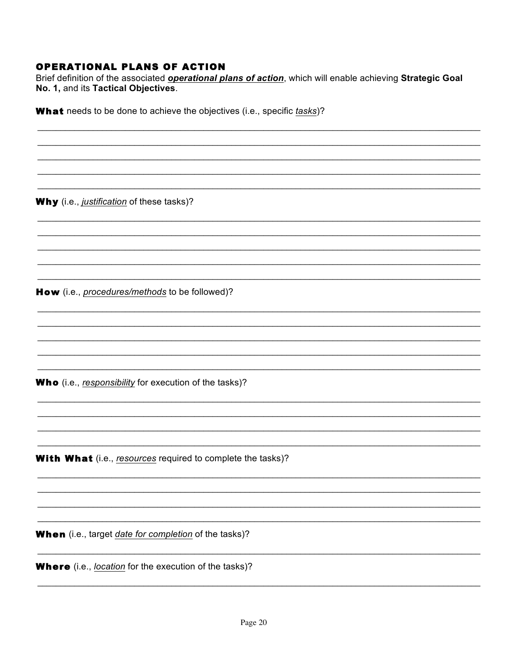### **OPERATIONAL PLANS OF ACTION**

Brief definition of the associated operational plans of action, which will enable achieving Strategic Goal No. 1, and its Tactical Objectives.

What needs to be done to achieve the objectives (i.e., specific tasks)?

Why (i.e., justification of these tasks)?

How (i.e., procedures/methods to be followed)?

Who (i.e., responsibility for execution of the tasks)?

**With What** (i.e., resources required to complete the tasks)?

When (i.e., target date for completion of the tasks)?

**Where** (i.e., *location* for the execution of the tasks)?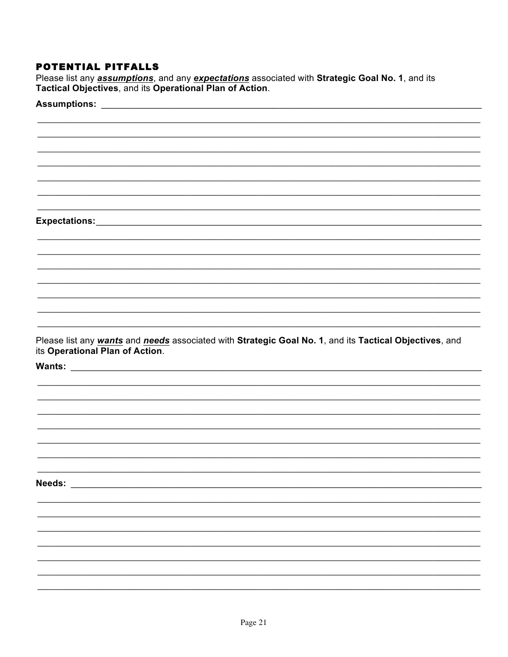### POTENTIAL PITFALLS

Please list any *assumptions*, and any *expectations* associated with Strategic Goal No. 1, and its Tactical Objectives, and its Operational Plan of Action.

| Please list any wants and needs associated with Strategic Goal No. 1, and its Tactical Objectives, and<br>its Operational Plan of Action.<br>Needs: Website the Communication of the Communication of the Communication of the Communication of the Communication of the Communication of the Communication of the Communication of the Communication of the Communication |  |
|----------------------------------------------------------------------------------------------------------------------------------------------------------------------------------------------------------------------------------------------------------------------------------------------------------------------------------------------------------------------------|--|
|                                                                                                                                                                                                                                                                                                                                                                            |  |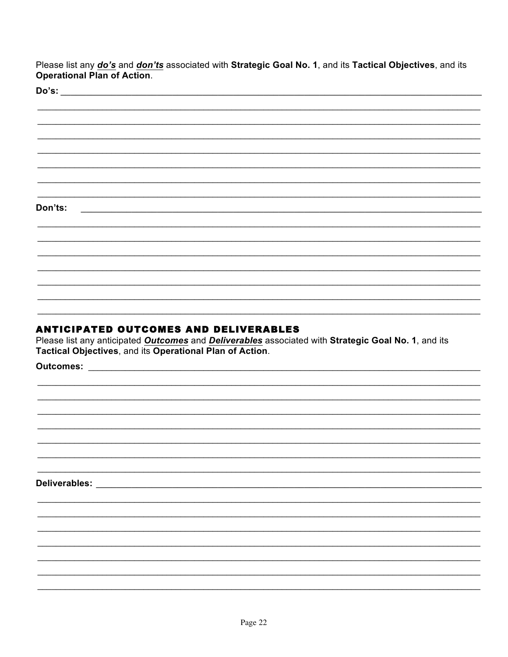Please list any *do's* and *don'ts* associated with Strategic Goal No. 1, and its Tactical Objectives, and its Operational Plan of Action.

 $D^o$ 's'

| •ט ש    |  |  |  |
|---------|--|--|--|
|         |  |  |  |
|         |  |  |  |
|         |  |  |  |
|         |  |  |  |
|         |  |  |  |
|         |  |  |  |
|         |  |  |  |
|         |  |  |  |
|         |  |  |  |
|         |  |  |  |
|         |  |  |  |
|         |  |  |  |
|         |  |  |  |
|         |  |  |  |
|         |  |  |  |
|         |  |  |  |
|         |  |  |  |
|         |  |  |  |
|         |  |  |  |
|         |  |  |  |
|         |  |  |  |
|         |  |  |  |
|         |  |  |  |
|         |  |  |  |
|         |  |  |  |
|         |  |  |  |
|         |  |  |  |
|         |  |  |  |
|         |  |  |  |
|         |  |  |  |
|         |  |  |  |
|         |  |  |  |
|         |  |  |  |
|         |  |  |  |
|         |  |  |  |
| Don'ts: |  |  |  |
|         |  |  |  |
|         |  |  |  |
|         |  |  |  |
|         |  |  |  |
|         |  |  |  |
|         |  |  |  |
|         |  |  |  |
|         |  |  |  |
|         |  |  |  |
|         |  |  |  |
|         |  |  |  |
|         |  |  |  |
|         |  |  |  |
|         |  |  |  |
|         |  |  |  |
|         |  |  |  |
|         |  |  |  |
|         |  |  |  |
|         |  |  |  |
|         |  |  |  |
|         |  |  |  |
|         |  |  |  |
|         |  |  |  |
|         |  |  |  |
|         |  |  |  |
|         |  |  |  |
|         |  |  |  |
|         |  |  |  |
|         |  |  |  |
|         |  |  |  |

### **ANTICIPATED OUTCOMES AND DELIVERABLES**

Please list any anticipated Outcomes and Deliverables associated with Strategic Goal No. 1, and its Tactical Objectives, and its Operational Plan of Action.

Outcomes: \_\_\_\_\_\_\_

Deliverables: New York Deliverables: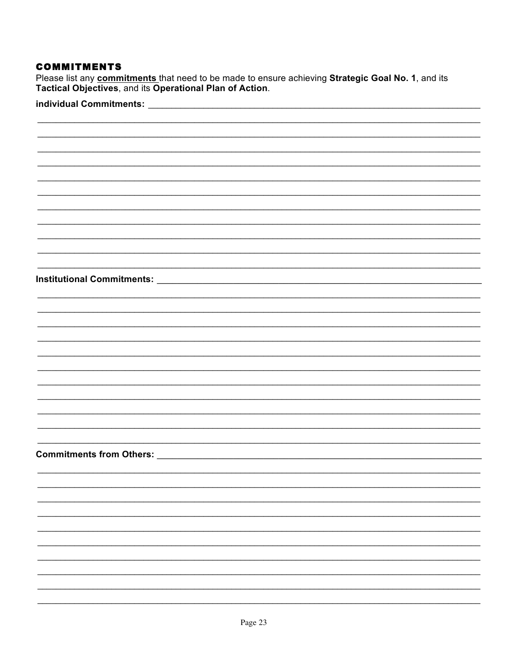### **COMMITMENTS**

Please list any commitments that need to be made to ensure achieving Strategic Goal No. 1, and its Tactical Objectives, and its Operational Plan of Action.

### individual Commitments: \_\_\_\_\_\_\_\_\_\_\_\_

| <b>Institutional Commitments:</b> |
|-----------------------------------|
|                                   |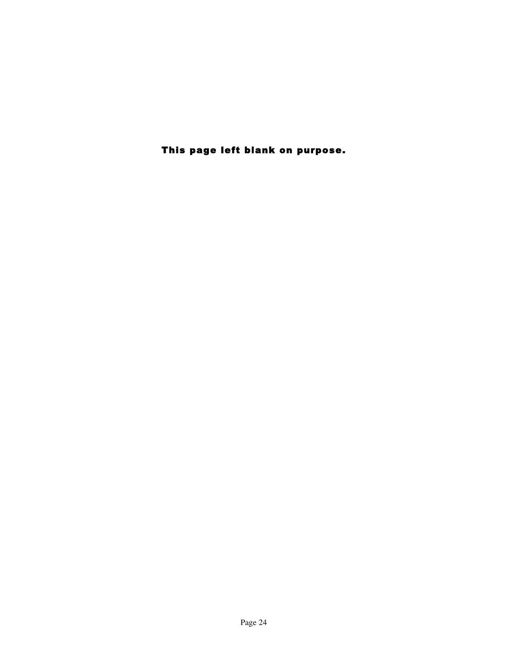This page left blank on purpose.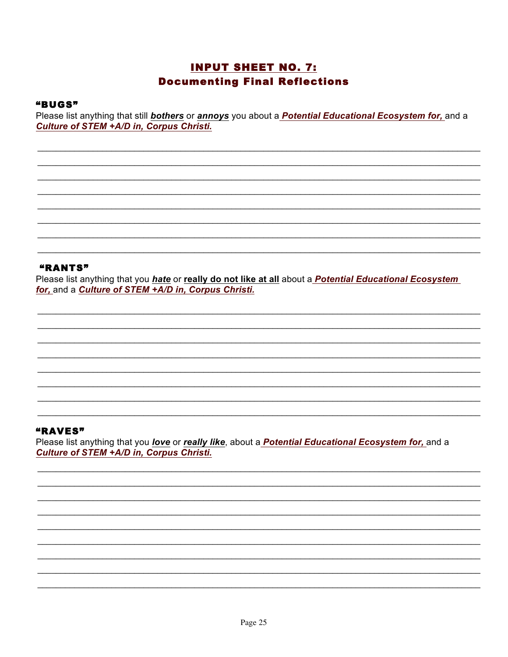### **INPUT SHEET NO. 7: Documenting Final Reflections**

#### "BUGS"

Please list anything that still **bothers** or **annoys** you about a **Potential Educational Ecosystem for**, and a Culture of STEM +A/D in, Corpus Christi.

### "RANTS"

Please list anything that you hate or really do not like at all about a Potential Educational Ecosystem for, and a Culture of STEM +A/D in, Corpus Christi.

### "RAVES"

Please list anything that you love or really like, about a Potential Educational Ecosystem for, and a Culture of STEM +A/D in, Corpus Christi.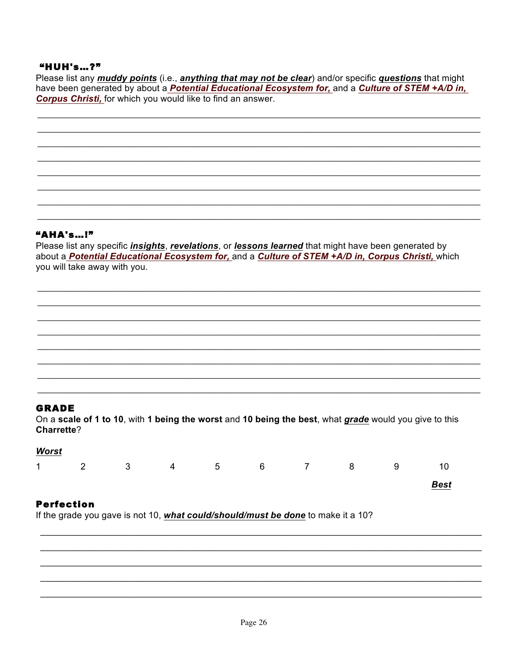### **"HUH's...?"**

Please list any *muddy points* (i.e., *anything that may not be clear*) and/or specific *questions* that might have been generated by about a Potential Educational Ecosystem for, and a Culture of STEM +A/D in, **Corpus Christi, for which you would like to find an answer.** 

### **"AHA's...!"**

Please list any specific *insights*, *revelations*, or *lessons learned* that might have been generated by about a Potential Educational Ecosystem for, and a Culture of STEM +A/D in, Corpus Christi, which you will take away with you.

#### **GRADE**

On a scale of 1 to 10, with 1 being the worst and 10 being the best, what grade would you give to this Charrette?

| <b>Worst</b> |                         |           |  |   |             |
|--------------|-------------------------|-----------|--|---|-------------|
| $1 \t 2$     | $\overline{\mathbf{3}}$ | 4 5 6 7 8 |  | 9 | 10          |
|              |                         |           |  |   | <b>Best</b> |

### **Perfection**

If the grade you gave is not 10, what could/should/must be done to make it a 10?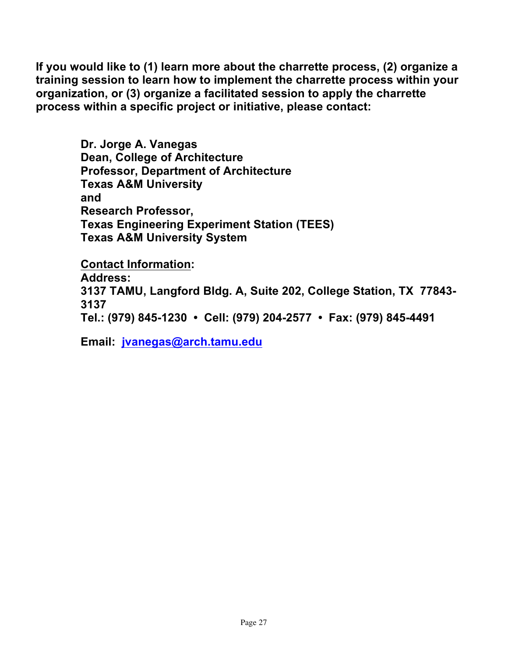**If you would like to (1) learn more about the charrette process, (2) organize a training session to learn how to implement the charrette process within your organization, or (3) organize a facilitated session to apply the charrette process within a specific project or initiative, please contact:**

> **Dr. Jorge A. Vanegas Dean, College of Architecture Professor, Department of Architecture Texas A&M University and Research Professor, Texas Engineering Experiment Station (TEES) Texas A&M University System**

**Contact Information: Address: 3137 TAMU, Langford Bldg. A, Suite 202, College Station, TX 77843- 3137 Tel.: (979) 845-1230 • Cell: (979) 204-2577 • Fax: (979) 845-4491**

**Email: jvanegas@arch.tamu.edu**